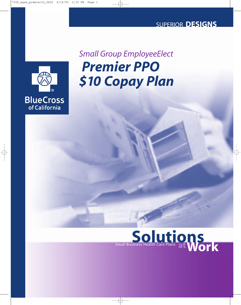## SUPERIOR **DESIGNS**



# *Premier PPO \$10 Copay Plan Small Group EmployeeElect*

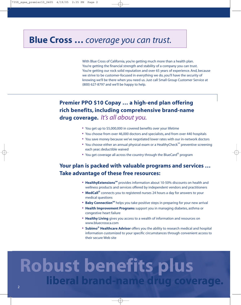## **Blue Cross …** *coverage you can trust.*

With Blue Cross of California, you're getting much more than a health plan. You're getting the financial strength and stability of a company you can trust. You're getting our rock solid reputation and over 65 years of experience. And, because we strive to be customer-focused in everything we do, you'll have the security of knowing we'll be there when you need us. Just call Small Group Customer Service at (800) 627-8797 and we'll be happy to help.

## **Premier PPO \$10 Copay … a high-end plan offering rich benefits, including comprehensive brand-name drug coverage.** *It's all about you.*

- **•** You get up to \$5,000,000 in covered benefits over your lifetime
- **•** You choose from over 46,000 doctors and specialists, and from over 440 hospitals
- **•** You save money because we've negotiated lower rates with our in-network doctors
- You choose either an annual physical exam or a HealthyCheck<sup>SM</sup> preventive screening each year; deductible waived
- **•** You get coverage all across the country through the BlueCard® program

## **Your plan is packed with valuable programs and services … Take advantage of these free resources:**

- **HealthyExtensions**<sup>SM</sup> provides information about 10-50% discounts on health and wellness products and services offered by independent vendors and practitioners
- **• MedCall®** connects you to registered nurses 24 hours a day for answers to your medical questions
- **Baby Connection<sup>SM</sup>** helps you take positive steps in preparing for your new arrival
- **• Health Improvement Programs** support you in managing diabetes, asthma or congestive heart failure
- **• Healthy Living** gives you access to a wealth of information and resources on www.bluecrossca.com
- **• Subimo® Healthcare Advisor** offers you the ability to research medical and hospital information customized to your specific circumstances through convenient access to their secure Web site

# **Robust benefits plus liberal brand-name drug coverage.**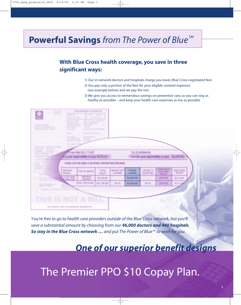# **Powerful Savings** *from The Power of Blue SM*

## **With Blue Cross health coverage, you save in three significant ways:**

- 1) Our in-network doctors and hospitals charge you lower, Blue Cross-negotiated fees
- 2) You pay only a portion of the fees for your eligible covered expenses (see example below) and we pay the rest
- 3) We give you access to tremendous savings on preventive care, so you can stay as *healthy* as possible – and keep your health care expenses as *low* as possible

| æ                                   |                                            | <b>EXPEANATION OF MENSETS</b>                          |                             |                         |                          |                                |                                                       |                                     |  |
|-------------------------------------|--------------------------------------------|--------------------------------------------------------|-----------------------------|-------------------------|--------------------------|--------------------------------|-------------------------------------------------------|-------------------------------------|--|
|                                     | <b>The Control</b><br>States St. 1986      | <b>TERRITORY</b>                                       | <b>Service</b>              |                         |                          |                                |                                                       |                                     |  |
|                                     |                                            | <b>Barrison of America</b>                             |                             |                         |                          |                                |                                                       |                                     |  |
|                                     |                                            | <b>SERVICE AND</b><br><b>START</b>                     |                             |                         |                          |                                |                                                       |                                     |  |
|                                     | <b>County Children</b>                     |                                                        |                             |                         |                          |                                |                                                       |                                     |  |
|                                     | <b>Basico</b> (C)                          |                                                        |                             |                         |                          |                                |                                                       |                                     |  |
|                                     | <b>STATISTICS</b>                          | <b>Contract Contract</b>                               |                             |                         |                          |                                |                                                       |                                     |  |
|                                     |                                            |                                                        |                             |                         |                          |                                |                                                       |                                     |  |
| presented the con-                  |                                            |                                                        |                             |                         |                          |                                |                                                       |                                     |  |
| <b>British Mary</b><br>and the same |                                            | Cross Paid: \$2,115.00                                 |                             |                         |                          | Tac (Confidential)             |                                                       |                                     |  |
|                                     | it is your responsibility to pay: \$235.00 |                                                        |                             |                         |                          |                                | It is not your responsibility to pay: \$2,940.60      |                                     |  |
|                                     |                                            | THANK YOU FOIL LEING A NETWORK PARTICIPATING PROVIDER. |                             |                         |                          |                                |                                                       |                                     |  |
|                                     | SRAVICES<br><b>DATECS!</b>                 | THE OF SERVICE                                         | <b>TOTAL</b><br><b>BLUD</b> | ARCIUNT ROT<br>ALLITADO | <b>PATIENT</b><br>SAMMOS | APPLIED TO<br><b>BEBUCTREE</b> | <b>CONSUMINGS</b><br><b>CONTRENT</b><br><b>AMBUNY</b> | <b>BLUE CADES</b><br><b>AMENNIT</b> |  |
|                                     | 07/06/2000-<br>270872000                   | <b>INFATIONT</b><br><b>MANGES</b>                      | \$5,190,00                  |                         | \$2,840.80               |                                | 6295.00                                               | 82,115.00                           |  |
|                                     |                                            | <b>10TAL 1HS CLAN</b>                                  | \$5,190.80                  | 10.05                   | 62,840.80                | sold                           | \$235.00                                              | <b>MATING</b>                       |  |
|                                     |                                            |                                                        |                             |                         |                          |                                |                                                       |                                     |  |
| atas.                               |                                            |                                                        |                             |                         |                          |                                |                                                       |                                     |  |
|                                     |                                            |                                                        |                             |                         |                          |                                |                                                       |                                     |  |
|                                     |                                            |                                                        |                             |                         |                          |                                |                                                       |                                     |  |
| THIS IS NOT A BILL                  |                                            |                                                        |                             |                         |                          |                                |                                                       |                                     |  |

*You're free to go to health care providers outside of the Blue Cross network, but you'll save a substantial amount by choosing from our 46,000 doctors and 440 hospitals. So stay in the Blue Cross network … and put The Power of Blue SM to work for you.*

## *One of our superior benefit designs*

# The Premier PPO \$10 Copay Plan.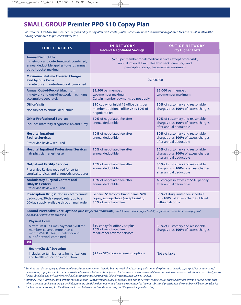## **SMALL GROUP Premier PPO \$10 Copay Plan**

*All amounts listed are the member's responsibility to pay after deductibles, unless otherwise noted. In-network negotiated fees can result in 30 to 40% savings compared to providers' usual fees.*

| <b>CORE FEATURES</b>                                                                                                                                                   | <b>IN-NETWORK</b><br><b>Receive Negotiated Savings</b>                                                                                                         | <b>OUT-OF-NETWORK</b><br><b>Pay Higher Costs</b>                                                  |  |  |  |  |  |
|------------------------------------------------------------------------------------------------------------------------------------------------------------------------|----------------------------------------------------------------------------------------------------------------------------------------------------------------|---------------------------------------------------------------------------------------------------|--|--|--|--|--|
| <b>Annual Deductible</b><br>In-network and out-of-network combined,<br>annual deductible applies towards annual<br>out-of-pocket maximum                               | \$250 per member for all medical services except office visits,<br>annual Physical Exam, HealthyCheck screenings and<br>prescription drugs; two-member maximum |                                                                                                   |  |  |  |  |  |
| <b>Maximum Lifetime Covered Charges</b><br><b>Paid by Blue Cross</b><br>In-network and out-of-network combined                                                         | \$5,000,000                                                                                                                                                    |                                                                                                   |  |  |  |  |  |
| <b>Annual Out-of-Pocket Maximum</b><br>In-network and out-of-network maximums<br>accumulate separately                                                                 | \$2,500 per member,<br>two-member maximum<br>Certain member payments do not apply <sup>1</sup>                                                                 | \$5,000 per member,<br>two-member maximum                                                         |  |  |  |  |  |
| <b>Office Visits</b><br>Not subject to annual deductible                                                                                                               | \$10 copay for initial 12 office visits per<br>member, additional office visits 30% of<br>negotiated fee                                                       | 30% of customary and reasonable<br>charges plus 100% of excess charges                            |  |  |  |  |  |
| <b>Other Professional Services</b><br>Includes maternity, diagnostic lab and X-ray                                                                                     | 10% of negotiated fee after<br>annual deductible                                                                                                               | 30% of customary and reasonable<br>charges plus 100% of excess charges<br>after annual deductible |  |  |  |  |  |
| <b>Hospital Inpatient</b><br><b>Facility Services</b><br>Preservice Review required                                                                                    | 10% of negotiated fee after<br>annual deductible                                                                                                               | 30% of customary and reasonable<br>charges plus 100% of excess charges<br>after annual deductible |  |  |  |  |  |
| <b>Hospital Inpatient Professional Services</b><br>(lab, physician, anesthesia)                                                                                        | 10% of negotiated fee after<br>annual deductible                                                                                                               | 30% of customary and reasonable<br>charges plus 100% of excess charges<br>after annual deductible |  |  |  |  |  |
| <b>Outpatient Facility Services</b><br>Preservice Review required for certain<br>surgical services and diagnostic procedures                                           | 10% of negotiated fee after<br>annual deductible                                                                                                               | 30% of customary and reasonable<br>charges plus 100% of excess charges<br>after annual deductible |  |  |  |  |  |
| <b>Ambulatory Surgical Centers and</b><br><b>Dialysis Centers</b><br><b>Preservice Review required</b>                                                                 | 10% of negotiated fee after<br>annual deductible                                                                                                               | All charges in excess of \$540 per day<br>after annual deductible                                 |  |  |  |  |  |
| Prescription Drugs <sup>2</sup> Not subject to annual<br>deductible; 30-day supply retail; up to a<br>60-day supply available through mail order                       | Generic: \$10 copay; brand-name: \$20<br>copay; self-injectable (except insulin):<br>30% of negotiated fee                                                     | 30% of drug limited fee schedule<br>plus 100% of excess charges if filled<br>within California    |  |  |  |  |  |
| Annual Preventive Care Options (not subject to deductible): each family member, ages 7-adult, may choose annually between physical<br>exam and HealthyCheck screening. |                                                                                                                                                                |                                                                                                   |  |  |  |  |  |
| <b>Physical Exam</b><br>Maximum Blue Cross payment \$200 for<br>members covered more than 6<br>months/\$100 if less; in-network and<br>out-of-network combined         | \$10 copay for office visit plus<br>10% of negotiated fee<br>for all other covered services                                                                    | 30% of customary and reasonable<br>charges plus 100% of excess charges                            |  |  |  |  |  |
| <b>OR</b><br><b>HealthyCheck<sup>™</sup> Screening</b><br>Includes certain lab tests, immunizations<br>and health education information                                | \$25 or \$75 copay screening options                                                                                                                           | Not available                                                                                     |  |  |  |  |  |

*<sup>1</sup> Services that do not apply to the annual out-of-pocket maximum include, but are not limited to: copay paid under the pharmacy benefit; copay paid for acupuncture/ acupressure; copay for mental or nervous disorders and substance abuse (except for treatment of severe mental illness and serious emotional disturbances of a child), copay for not obtaining preservice review; HealthyCheck payments; \$500 copay for infertility services; non-covered services.*

*<sup>2</sup> Infertility Drugs: Infertility drug lifetime maximum Blue Cross payment \$1,500 in-network and out-of-network combined. All drugs: if member selects a brand-name drug when a generic equivalent drug is available, and the physician does not write a "dispense as written" or "do not substitute" prescription, the member will be responsible for the brand-name copay plus the difference in cost between the brand-name drug and the generic equivalent drug.*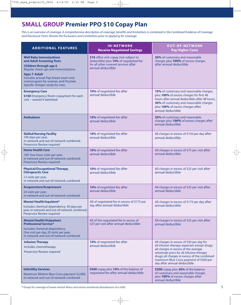## **SMALL GROUP Premier PPO \$10 Copay Plan**

*This is an overview of coverage. A comprehensive description of coverage, benefits and limitations is contained in the Combined Evidence of Coverage and Disclosure Form. Review the Exclusions and Limitations prior to applying for coverage.*

| <b>ADDITIONAL FEATURES</b>                                                                                                                                                                                                                                                | <b>IN-NETWORK</b><br><b>Receive Negotiated Savings</b>                                                                                         | <b>OUT-OF-NETWORK</b><br><b>Pay Higher Costs</b>                                                                                                                                                                                                                                                       |  |
|---------------------------------------------------------------------------------------------------------------------------------------------------------------------------------------------------------------------------------------------------------------------------|------------------------------------------------------------------------------------------------------------------------------------------------|--------------------------------------------------------------------------------------------------------------------------------------------------------------------------------------------------------------------------------------------------------------------------------------------------------|--|
| <b>Well Baby Immunizations</b><br>and Adult Screening Tests<br><b>Children through age 6</b><br>Regular check-ups and immunizations<br><b>Ages 7-Adult</b><br>Includes annual Pap, breast exam and<br>mammogram for women, and Prostate<br>Specific Antigen study for men | \$10 office visit copay (not subject to<br>deductible) plus 10% of negotiated fee<br>for all other covered services after<br>annual deductible | 30% of customary and reasonable<br>charges plus 100% of excess charges<br>after annual deductible                                                                                                                                                                                                      |  |
| <b>Emergency Care</b><br>\$100 Emergency Room copayment for each<br>visit - waived if admitted                                                                                                                                                                            | 10% of negotiated fee after<br>annual deductible                                                                                               | 10% of customary and reasonable charges,<br>plus 100% of excess charges for first 48<br>hours after annual deductible; after 48 hours,<br>30% of customary and reasonable charges<br>plus 100% of excess charges after<br>annual deductible                                                            |  |
| <b>Ambulance</b>                                                                                                                                                                                                                                                          | 10% of negotiated fee after<br>annual deductible                                                                                               | 30% of customary and reasonable<br>charges plus 100% of excess charges after<br>annual deductible                                                                                                                                                                                                      |  |
| <b>Skilled Nursing Facility</b><br>100 days per year,<br>in-network and out-of-network combined;<br>Preservice Review required                                                                                                                                            | 10% of negotiated fee after<br>annual deductible                                                                                               | All charges in excess of \$150 per day after<br>annual deductible                                                                                                                                                                                                                                      |  |
| <b>Home Health Care</b><br>100 four-hour visits per year,<br>in-network and out-of-network combined;<br>Preservice Review required                                                                                                                                        | 10% of negotiated fee after<br>annual deductible                                                                                               | All charges in excess of \$75 per visit after<br>annual deductible                                                                                                                                                                                                                                     |  |
| <b>Physical/Occupational Therapy,</b><br><b>Chiropractic Care</b><br>12 visits per year,<br>in-network and out-of-network combined                                                                                                                                        | 10% of negotiated fee after<br>annual deductible                                                                                               | All charges in excess of \$25 per visit after<br>annual deductible                                                                                                                                                                                                                                     |  |
| <b>Acupuncture/Acupressure</b><br>24 visits per year,<br>in-network and out-of-network combined                                                                                                                                                                           | 10% of negotiated fee after<br>annual deductible                                                                                               | All charges in excess of \$25 per visit after<br>annual deductible                                                                                                                                                                                                                                     |  |
| <b>Mental Health/Inpatient*</b><br>Includes chemical dependency; 30 days per<br>year, in-network and out-of-network combined;<br>Preservice Review required                                                                                                               | All of negotiated fee in excess of \$175 per<br>day after annual deductible                                                                    | All charges in excess of \$175 per day after<br>annual deductible                                                                                                                                                                                                                                      |  |
| <b>Mental Health/Outpatient</b><br><b>Professional Service*</b><br>Includes chemical dependency<br>One visit per day, 20 visits per year,<br>in-network and out-of-network combined                                                                                       | All of the negotiated fee in excess of<br>\$25 per visit after annual deductible                                                               | All charges in excess of \$25 per visit after<br>annual deductible                                                                                                                                                                                                                                     |  |
| <b>Infusion Therapy</b><br>Includes chemotherapy<br>Preservice Review required                                                                                                                                                                                            | 10% of negotiated fee after<br>annual deductible                                                                                               | All charges in excess of \$50 per day for<br>all infusion therapy expenses except drugs;<br>all charges in excess of the average<br>wholesale price for all infusion therapy<br>drugs; all charges in excess of the combined<br>maximum Blue Cross payment of \$500 per<br>day after annual deductible |  |
| <b>Infertility Services</b><br>Maximum lifetime Blue Cross payment \$2,000,<br>in-network and out-of-network combined                                                                                                                                                     | \$500 copay plus 10% of the balance of<br>negotiated fee after annual deductible                                                               | \$500 copay plus 30% of the balance<br>of customary and reasonable charges<br>plus 100% of excess charges after<br>annual deductible                                                                                                                                                                   |  |

**\*** *Except for coverage of severe mental illness and serious emotional disturbances of a child.*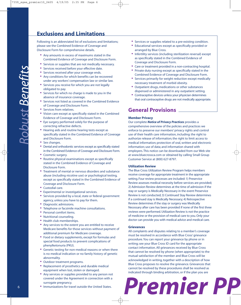## **Exclusions and Limitations**

Following is an abbreviated list of exclusions and limitations; please see the Combined Evidence of Coverage and Disclosure Form for comprehensive details.

- **•** Any amounts in excess of maximums stated in the Combined Evidence of Coverage and Disclosure Form.
- **•** Services or supplies that are not medically necessary.
- **•** Services received before your effective date.
- Services received after your coverage ends.<br>• Any conditions for which bongfits can be re-
- **•** Any conditions for which benefits can be recovered under any workers' compensation law or similar law.
- **•** Services you receive for which you are not legally obligated to pay.
- **•** Services for which no charge is made to you in the absence of insurance coverage.
- **•** Services not listed as covered in the Combined Evidence of Coverage and Disclosure Form.
- **•** Services from relatives.
- **•** Vision care except as specifically stated in the Combined Evidence of Coverage and Disclosure Form.
- **•** Eye surgery performed solely for the purpose of correcting refractive defects.
- **•** Hearing aids and routine hearing tests except as specifically stated in the Combined Evidence of Coverage and Disclosure Form.
- **•** Sex changes.
- **•** Dental and orthodontic services except as specifically stated in the Combined Evidence of Coverage and Disclosure Form.
- **•** Cosmetic surgery.
- **•** Routine physical examinations except as specifically stated in the Combined Evidence of Coverage and Disclosure Form.
- **•** Treatment of mental or nervous disorders and substance abuse (including nicotine use) or psychological testing, except as specifically stated in the Combined Evidence of Coverage and Disclosure Form.
- **•** Custodial care.
- **•** Experimental or investigational services.
- **•** Services provided by a local, state or federal government agency, unless you have to pay for them.
- **•** Diagnostic admissions.
- **•** Telephone or facsimile machine consultations.
- **•** Personal comfort items.
- **•** Nutritional counseling.
- **•** Health club memberships.
- **•** Any services to the extent you are entitled to receive Medicare benefits for those services without payment of additional premium for Medicare coverage.
- **•** Food or dietary supplements, except for formulas and special food products to prevent complications of phenylketonuria (PKU).
- **•** Genetic testing for non-medical reasons or when there is no medical indication or no family history of genetic abnormality.
- **•** Outdoor treatment programs.
- **•** Replacement of prosthetics and durable medical equipment when lost, stolen or damaged.
- **•** Any services or supplies provided to any person not covered under the Agreement in connection with a surrogate pregnancy.
- **•** Immunizations for travel outside the United States.
- **•** Services or supplies related to a pre-existing condition.
- **•** Educational services except as specifically provided or arranged by Blue Cross.
- **•** Infertility services (including sterilization reversal) except as specifically stated in the Combined Evidence of Coverage and Disclosure Form.
- **•** Care or treatment provided in a non-contracting hospital.
- **•** Private duty nursing except as specifically stated in the Combined Evidence of Coverage and Disclosure Form.
- **•** Services primarily for weight reduction except medically necessary treatment of morbid obesity.
- **•** Outpatient drugs, medications or other substances dispensed or administered in any outpatient setting.
- **•** Contraceptive devices unless your physician determines that oral contraceptive drugs are not medically appropriate.

## **General Provisions**

### **Member Privacy**

Our complete *Notice of Privacy Practices* provides a comprehensive overview of the policies and practices we enforce to preserve our members' privacy rights and control use of their health care information, including: the right to authorize release of information; the right to limit access to medical information; protection of oral, written and electronic information; use of data; and information shared with employers.This notice can be downloaded from our Web site at www.bluecrossca.com or obtained by calling Small Group Customer Service at (800) 627-8797.

### **Utilization Review**

The Blue Cross Utilization Review Program helps members receive coverage for appropriate treatment in the appropriate setting. Four review processes are included: 1) Preservice Review assesses medical necessity before services are provided; 2) Admission Review determines at the time of admission if the stay or surgery is Medically Necessary in the event Preservice Review is not conducted; 3) Continued Stay Review determines if a continued stay is Medically Necessary; 4) Retrospective Review determines if the stay or surgery was Medically Necessary after care has been provided if none of the first three reviews were performed. Utilization Review is not the practice of medicine or the provision of medical care to you. Only your doctor can provide you with medical advice and medical care.

#### **Grievances**

All complaints and disputes relating to a member's coverage must be resolved in accordance with Blue Cross' grievance procedure. You can report your grievance by phone or in writing; see your Blue Cross ID card for the appropriate contact information. All grievances received by Blue Cross that cannot be resolved by phone (when appropriate) to the mutual satisfaction of the member and Blue Cross will be acknowledged in writing, together with a description of how Blue Cross proposes to resolve the grievance. Grievances that cannot be resolved by these procedures shall be resolved as indicated through binding arbitration, or if the plan you are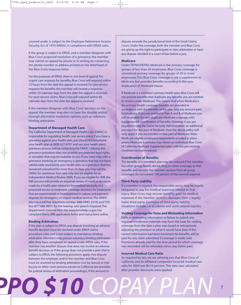covered under is subject to the Employee Retirement Income Security Act of 1974 (ERISA), in compliance with ERISA rules.

If the group is subject to ERISA, and a member disagrees with Blue Cross' proposed resolution of a grievance, the member may submit an appeal by phone or in writing, by contacting the phone number or address printed on the letterhead of the Blue Cross response letter.

For the purposes of ERISA, there is one level of appeal. For urgent care requests for benefits, Blue Cross will respond within 72 hours from the date the appeal is received. For pre-service requests for benefits, the member will receive a response within 30 calendar days from the date the appeal is received. For post-service claims, Blue Cross will respond within 60 calendar days from the date the appeal is received.

If the member disagrees with Blue Cross' decision on the appeal, the member may elect to have the dispute settled through alternative resolution options, such as voluntary binding arbitration.

#### **Department of Managed Health Care**

The California Department of Managed Health Care (DMHC) is responsible for regulating health care service plans. If you have a grievance against your health plan, you should first telephone your health plan at (800) 627-8797 and use your health plan's grievance process before contacting the DMHC. Utilizing this grievance procedure does not prohibit any potential legal rights or remedies that may be available to you. If you need help with a grievance involving an emergency, a grievance that has not been satisfactorily resolved by your health plan, or a grievance that has remained unresolved for more than 30 days, you may call the DMHC for assistance.Your case may also be eligible for an Independent Medical Review (IMR). If you are eligible for IMR, the IMR process will provide an impartial review of medical decisions made by a health plan related to the medical necessity of a proposed service or treatment, coverage decisions for treatments that are experimental or investigational in nature, and payment disputes for emergency or urgent medical services.The DMHC also has a toll-free telephone number (888-HMO-2219), and TDD line (877-688-9891) for the hearing- and speech-impaired.The department's Internet Web site, www.hmohelp.ca.gov, has complaint forms, IMR application forms and instructions online.

#### **Binding Arbitration**

If the plan is subject to ERISA, any dispute involving an adverse benefit decision must be resolved under ERISA claims procedure rules, and is not subject to mandatory binding arbitration. Members may pursue voluntary binding arbitration after they have completed an appeal under ERISA rules. If the member has another dispute that does not involve an adverse benefit decision, or if the group does not provide a plan that is subject to ERISA, the following provisions apply: Any dispute between the employer and/or the member and Blue Cross must be resolved by binding arbitration (not by lawsuit or trial by jury or other court process, except as California law provides for judicial review of arbitration proceedings), if the amount in

 *PPO \$10 COPAY PLAN*

dispute exceeds the jurisdictional limit of the Small Claims Court. Under this coverage, both the member and Blue Cross are giving up the right to participate in class arbitration or have any dispute decided in a court of law before a jury.

### **Medicare**

Under TEFRA/DEFRA, Medicare is the primary coverage for groups of less than 20 employees. Blue Cross coverage is considered primary coverage for groups of 20 or more employees. This Blue Cross coverage is not a supplement to Medicare, but provides benefits according to the nonduplication of Medicare clause.

If Medicare is a member's primary health plan, Blue Cross will not provide benefits that duplicate any benefits you are entitled to receive under Medicare.This means that when Medicare is the primary health coverage, benefits are provided in accordance with the benefits of the plan, less any amount paid by Medicare. If you are entitled to Part A and B of Medicare, you will be eligible for non-duplicate Medicare coverage, with supplemental coordination of benefits. However, if you are required to pay the Social Security Administration an additional premium for any part of Medicare, then the above policy will only apply if you are enrolled in that part of Medicare. Note: Medicare-eligible employees/dependents enrolled in plans where Medicare is primary may obtain an Individual Blue Cross of California Medicare Supplement plan with the pre-existing condition exclusion waived.

#### **Coordination of Benefits**

The benefits of a member's plan may be reduced if the member has other group health, dental, drug or vision coverage, so that benefits and services the member receives from all group coverages do not exceed 100 percent of the covered expense.

### **Third-Party Liability**

If a member is injured, the responsible party may be legally obligated to pay for medical expenses related to that injury. Blue Cross may recover benefits paid for medical expenses if the member recovers damages from a legally liable third-party. Examples of third-party liability situations include car accidents and work-related injuries.

#### **Voiding Coverage for False and Misleading Information**

False or misleading information or failure to submit any required enrollment materials may form the basis for voiding coverage from the date a plan was issued or retroactively adjusting the premium to what it would have been if the correct information had been furnished. No benefits will be paid for any claim submitted if coverage is made void. Premiums already paid for the time period for which coverage was rescinded will be refunded, minus any claims paid.

#### **Incurred Medical Care Ratio**

As required by law, we are advising you that Blue Cross of California and its affiliated companies' incurred medical care ratio for 2004 was 80.14 percent. This ratio was calculated after provider discounts were applied.